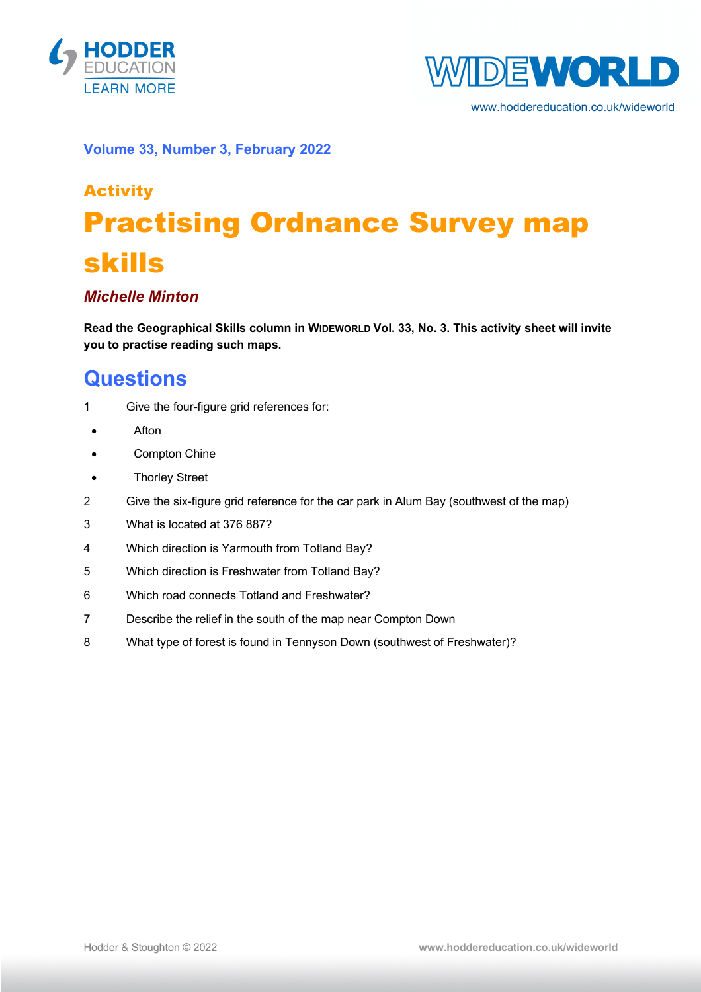



www.hoddereducation.co.uk/wideworld

#### **Volume 33, Number 3, February 2022**

# Activity Practising Ordnance Survey map skills

### *Michelle Minton*

**Read the Geographical Skills column in WIDEWORLD Vol. 33, No. 3. This activity sheet will invite you to practise reading such maps.**

## **Questions**

- 1 Give the four-figure grid references for:
- Afton
- Compton Chine
- Thorley Street
- 2 Give the six-figure grid reference for the car park in Alum Bay (southwest of the map)
- 3 What is located at 376 887?
- 4 Which direction is Yarmouth from Totland Bay?
- 5 Which direction is Freshwater from Totland Bay?
- 6 Which road connects Totland and Freshwater?
- 7 Describe the relief in the south of the map near Compton Down
- 8 What type of forest is found in Tennyson Down (southwest of Freshwater)?